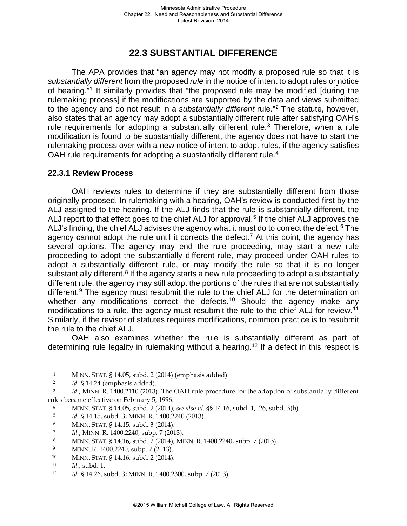## **22.3 SUBSTANTIAL DIFFERENCE**

The APA provides that "an agency may not modify a proposed rule so that it is *substantially different* from the proposed *rule* in the notice of intent to adopt rules or notice of hearing."[1](#page-0-0) It similarly provides that "the proposed rule may be modified [during the rulemaking process] if the modifications are supported by the data and views submitted to the agency and do not result in a *substantially different* rule."[2](#page-0-1) The statute, however, also states that an agency may adopt a substantially different rule after satisfying OAH's rule requirements for adopting a substantially different rule.<sup>[3](#page-0-2)</sup> Therefore, when a rule modification is found to be substantially different, the agency does not have to start the rulemaking process over with a new notice of intent to adopt rules, if the agency satisfies OAH rule requirements for adopting a substantially different rule.<sup>[4](#page-0-3)</sup>

## **22.3.1 Review Process**

OAH reviews rules to determine if they are substantially different from those originally proposed. In rulemaking with a hearing, OAH's review is conducted first by the ALJ assigned to the hearing. If the ALJ finds that the rule is substantially different, the ALJ report to that effect goes to the chief ALJ for approval.<sup>[5](#page-0-4)</sup> If the chief ALJ approves the ALJ's finding, the chief ALJ advises the agency what it must do to correct the defect. $6$  The agency cannot adopt the rule until it corrects the defect.<sup>[7](#page-0-6)</sup> At this point, the agency has several options. The agency may end the rule proceeding, may start a new rule proceeding to adopt the substantially different rule, may proceed under OAH rules to adopt a substantially different rule, or may modify the rule so that it is no longer substantially different.<sup>[8](#page-0-7)</sup> If the agency starts a new rule proceeding to adopt a substantially different rule, the agency may still adopt the portions of the rules that are not substantially different.<sup>[9](#page-0-8)</sup> The agency must resubmit the rule to the chief ALJ for the determination on whether any modifications correct the defects.<sup>[10](#page-0-9)</sup> Should the agency make any modifications to a rule, the agency must resubmit the rule to the chief ALJ for review.<sup>[11](#page-0-10)</sup> Similarly, if the revisor of statutes requires modifications, common practice is to resubmit the rule to the chief ALJ.

OAH also examines whether the rule is substantially different as part of determining rule legality in rulemaking without a hearing.<sup>[12](#page-0-11)</sup> If a defect in this respect is

- 1 MINN. STAT. § 14.05, subd. 2 (2014) (emphasis added).
- 2 *Id.* § 14.24 (emphasis added).

<span id="page-0-3"></span><span id="page-0-2"></span><span id="page-0-1"></span><span id="page-0-0"></span><sup>3</sup> *Id.*; MINN. R. 1400.2110 (2013). The OAH rule procedure for the adoption of substantially different rules became effective on February 5, 1996.

- 4 MINN. STAT. § 14.05, subd. 2 (2014); *see also id.* §§ 14.16, subd. 1, .26, subd. 3(b). 5 *Id.* § 14.15, subd. 3; MINN. R. 1400.2240 (2013). 6 MINN. STAT. § 14.15, subd. 3 (2014).
- <span id="page-0-4"></span>
- <span id="page-0-5"></span>
- 
- <span id="page-0-6"></span>*Id.*; MINN. R. 1400.2240, subp. 7 (2013).<br><sup>8</sup> MINN. STAT. § 14.16, subd. 2 (2014); MINN. R. 1400.2240, subp. 7 (2013).
- <span id="page-0-8"></span><span id="page-0-7"></span>9 MINN. R. 1400.2240, subp. 7 (2013).<br><sup>10</sup> MINN. STAT. § 14.16, subd. 2 (2014).
- <span id="page-0-9"></span>

<span id="page-0-11"></span><span id="page-0-10"></span><sup>11</sup> *Id.*, subd. 1. 12 *Id.* § 14.26, subd. 3; MINN. R. 1400.2300, subp. 7 (2013).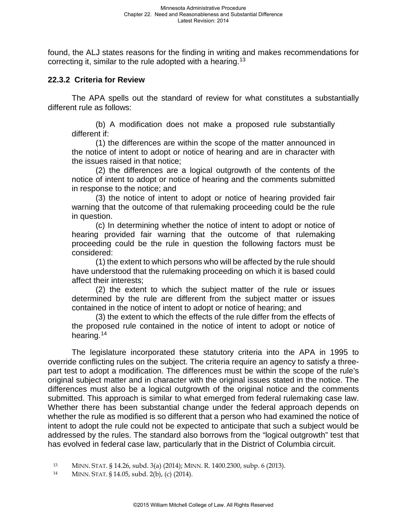found, the ALJ states reasons for the finding in writing and makes recommendations for correcting it, similar to the rule adopted with a hearing.<sup>[13](#page-1-0)</sup>

## **22.3.2 Criteria for Review**

The APA spells out the standard of review for what constitutes a substantially different rule as follows:

(b) A modification does not make a proposed rule substantially different if:

(1) the differences are within the scope of the matter announced in the notice of intent to adopt or notice of hearing and are in character with the issues raised in that notice;

(2) the differences are a logical outgrowth of the contents of the notice of intent to adopt or notice of hearing and the comments submitted in response to the notice; and

(3) the notice of intent to adopt or notice of hearing provided fair warning that the outcome of that rulemaking proceeding could be the rule in question.

(c) In determining whether the notice of intent to adopt or notice of hearing provided fair warning that the outcome of that rulemaking proceeding could be the rule in question the following factors must be considered:

(1) the extent to which persons who will be affected by the rule should have understood that the rulemaking proceeding on which it is based could affect their interests;

(2) the extent to which the subject matter of the rule or issues determined by the rule are different from the subject matter or issues contained in the notice of intent to adopt or notice of hearing; and

(3) the extent to which the effects of the rule differ from the effects of the proposed rule contained in the notice of intent to adopt or notice of hearing.<sup>[14](#page-1-1)</sup>

The legislature incorporated these statutory criteria into the APA in 1995 to override conflicting rules on the subject. The criteria require an agency to satisfy a threepart test to adopt a modification. The differences must be within the scope of the rule's original subject matter and in character with the original issues stated in the notice. The differences must also be a logical outgrowth of the original notice and the comments submitted. This approach is similar to what emerged from federal rulemaking case law. Whether there has been substantial change under the federal approach depends on whether the rule as modified is so different that a person who had examined the notice of intent to adopt the rule could not be expected to anticipate that such a subject would be addressed by the rules. The standard also borrows from the "logical outgrowth" test that has evolved in federal case law, particularly that in the District of Columbia circuit.

<span id="page-1-0"></span><sup>13</sup> MINN. STAT. § 14.26, subd. 3(a) (2014); MINN. R. 1400.2300, subp. 6 (2013).<br>14 MINN. STAT. § 14.05, subd. 2(b), (c) (2014).

<span id="page-1-1"></span>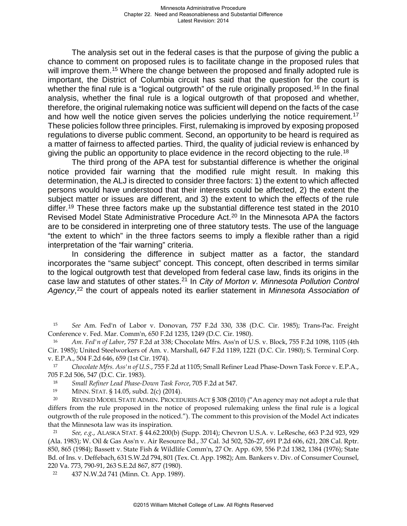The analysis set out in the federal cases is that the purpose of giving the public a chance to comment on proposed rules is to facilitate change in the proposed rules that will improve them.<sup>15</sup> Where the change between the proposed and finally adopted rule is important, the District of Columbia circuit has said that the question for the court is whether the final rule is a "logical outgrowth" of the rule originally proposed.<sup>[16](#page-2-1)</sup> In the final analysis, whether the final rule is a logical outgrowth of that proposed and whether, therefore, the original rulemaking notice was sufficient will depend on the facts of the case and how well the notice given serves the policies underlying the notice requirement.<sup>[17](#page-2-2)</sup> These policies follow three principles. First, rulemaking is improved by exposing proposed regulations to diverse public comment. Second, an opportunity to be heard is required as a matter of fairness to affected parties. Third, the quality of judicial review is enhanced by giving the public an opportunity to place evidence in the record objecting to the rule.<sup>[18](#page-2-3)</sup>

The third prong of the APA test for substantial difference is whether the original notice provided fair warning that the modified rule might result. In making this determination, the ALJ is directed to consider three factors: 1) the extent to which affected persons would have understood that their interests could be affected, 2) the extent the subject matter or issues are different, and 3) the extent to which the effects of the rule differ.<sup>19</sup> These three factors make up the substantial difference test stated in the 2010 Revised Model State Administrative Procedure Act.<sup>[20](#page-2-5)</sup> In the Minnesota APA the factors are to be considered in interpreting one of three statutory tests. The use of the language "the extent to which" in the three factors seems to imply a flexible rather than a rigid interpretation of the "fair warning" criteria.

In considering the difference in subject matter as a factor, the standard incorporates the "same subject" concept. This concept, often described in terms similar to the logical outgrowth test that developed from federal case law, finds its origins in the case law and statutes of other states.[21](#page-2-6) In *City of Morton v. Minnesota Pollution Control Agency*, [22](#page-2-7) the court of appeals noted its earlier statement in *Minnesota Association of* 

<span id="page-2-0"></span><sup>15</sup> *See* Am. Fed'n of Labor v. Donovan, 757 F.2d 330, 338 (D.C. Cir. 1985); Trans-Pac. Freight Conference v. Fed. Mar. Comm'n, 650 F.2d 1235, 1249 (D.C. Cir. 1980).

<span id="page-2-1"></span><sup>16</sup> *Am. Fed'n of Labor*, 757 F.2d at 338; Chocolate Mfrs. Ass'n of U.S. v. Block, 755 F.2d 1098, 1105 (4th Cir. 1985); United Steelworkers of Am. v. Marshall, 647 F.2d 1189, 1221 (D.C. Cir. 1980); S. Terminal Corp. v. E.P.A., 504 F.2d 646, 659 (1st Cir. 1974). 17 *Chocolate Mfrs. Ass'n of U.S.*, 755 F.2d at 1105; Small Refiner Lead Phase-Down Task Force v. E.P.A.,

<span id="page-2-2"></span>705 F.2d 506, 547 (D.C. Cir. 1983). 18 *Small Refiner Lead Phase-Down Task Force*, 705 F.2d at 547.

<span id="page-2-5"></span><span id="page-2-4"></span><span id="page-2-3"></span>19 MINN. STAT. § 14.05, subd. 2(c) (2014).<br><sup>20</sup> REVISED MODEL STATE ADMIN. PROCEDURES ACT § 308 (2010) ("An agency may not adopt a rule that differs from the rule proposed in the notice of proposed rulemaking unless the final rule is a logical outgrowth of the rule proposed in the noticed."). The comment to this provision of the Model Act indicates that the Minnesota law was its inspiration.

<span id="page-2-6"></span><sup>21</sup> *See, e.g.*, ALASKA STAT. § 44.62.200(b) (Supp. 2014); Chevron U.S.A. v. LeResche, 663 P.2d 923, 929 (Ala. 1983); W. Oil & Gas Ass'n v. Air Resource Bd., 37 Cal. 3d 502, 526-27, 691 P.2d 606, 621, 208 Cal. Rptr. 850, 865 (1984); Bassett v. State Fish & Wildlife Comm'n, 27 Or. App. 639, 556 P.2d 1382, 1384 (1976); State Bd. of Ins. v. Deffebach, 631 S.W.2d 794, 801 (Tex. Ct. App. 1982); Am. Bankers v. Div. of Consumer Counsel, 220 Va. 773, 790-91, 263 S.E.2d 867, 877 (1980).

<span id="page-2-7"></span>22 437 N.W.2d 741 (Minn. Ct. App. 1989).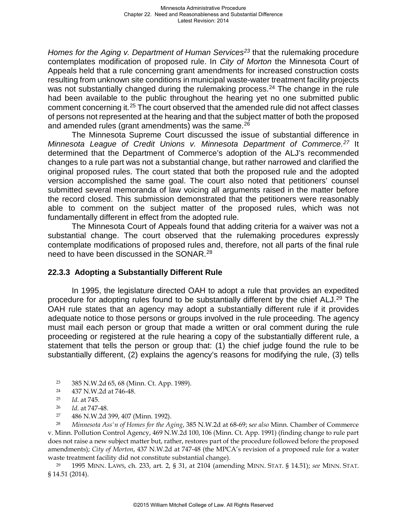*Homes for the Aging v. Department of Human Services[23](#page-3-0)* that the rulemaking procedure contemplates modification of proposed rule. In *City of Morton* the Minnesota Court of Appeals held that a rule concerning grant amendments for increased construction costs resulting from unknown site conditions in municipal waste-water treatment facility projects was not substantially changed during the rulemaking process.<sup>[24](#page-3-1)</sup> The change in the rule had been available to the public throughout the hearing yet no one submitted public comment concerning it.[25](#page-3-2) The court observed that the amended rule did not affect classes of persons not represented at the hearing and that the subject matter of both the proposed and amended rules (grant amendments) was the same.<sup>[26](#page-3-3)</sup>

The Minnesota Supreme Court discussed the issue of substantial difference in *Minnesota League of Credit Unions v. Minnesota Department of Commerce.[27](#page-3-4)* It determined that the Department of Commerce's adoption of the ALJ's recommended changes to a rule part was not a substantial change, but rather narrowed and clarified the original proposed rules. The court stated that both the proposed rule and the adopted version accomplished the same goal. The court also noted that petitioners' counsel submitted several memoranda of law voicing all arguments raised in the matter before the record closed. This submission demonstrated that the petitioners were reasonably able to comment on the subject matter of the proposed rules, which was not fundamentally different in effect from the adopted rule.

The Minnesota Court of Appeals found that adding criteria for a waiver was not a substantial change. The court observed that the rulemaking procedures expressly contemplate modifications of proposed rules and, therefore, not all parts of the final rule need to have been discussed in the SONAR.<sup>[28](#page-3-5)</sup>

## **22.3.3 Adopting a Substantially Different Rule**

In 1995, the legislature directed OAH to adopt a rule that provides an expedited procedure for adopting rules found to be substantially different by the chief ALJ.[29](#page-3-6) The OAH rule states that an agency may adopt a substantially different rule if it provides adequate notice to those persons or groups involved in the rule proceeding. The agency must mail each person or group that made a written or oral comment during the rule proceeding or registered at the rule hearing a copy of the substantially different rule, a statement that tells the person or group that: (1) the chief judge found the rule to be substantially different, (2) explains the agency's reasons for modifying the rule, (3) tells

- <span id="page-3-0"></span>23 385 N.W.2d 65, 68 (Minn. Ct. App. 1989).
- 24 437 N.W.2d at 746-48.
- 25 *Id.* at 745.
- 26 *Id.* at 747-48.
- 

<span id="page-3-5"></span><span id="page-3-4"></span><span id="page-3-3"></span><span id="page-3-2"></span><span id="page-3-1"></span><sup>27</sup> 486 N.W.2d 399, 407 (Minn. 1992). 28 *Minnesota Ass'n of Homes for the Aging*, 385 N.W.2d at 68-69; s*ee also* Minn. Chamber of Commerce v. Minn. Pollution Control Agency, 469 N.W.2d 100, 106 (Minn. Ct. App. 1991) (finding change to rule part does not raise a new subject matter but, rather, restores part of the procedure followed before the proposed amendments); *City of Morton*, 437 N.W.2d at 747-48 (the MPCA's revision of a proposed rule for a water waste treatment facility did not constitute substantial change).

<span id="page-3-6"></span> 29 1995 MINN. LAWS, ch. 233, art. 2, § 31, at 2104 (amending MINN. STAT. § 14.51); *see* MINN. STAT. § 14.51 (2014).